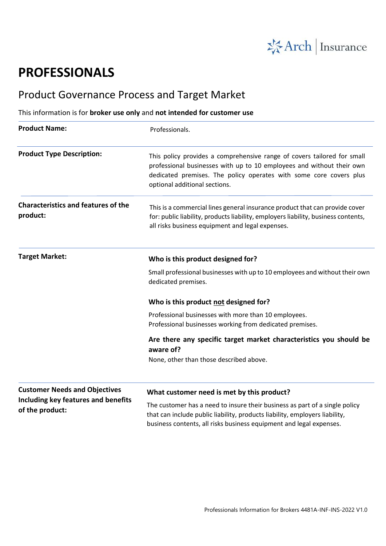

# **PROFESSIONALS**

## Product Governance Process and Target Market

### This information is for **broker use only** and **not intended for customer use**

| <b>Product Name:</b>                                   | Professionals.                                                                                                                                                                                                                                          |
|--------------------------------------------------------|---------------------------------------------------------------------------------------------------------------------------------------------------------------------------------------------------------------------------------------------------------|
| <b>Product Type Description:</b>                       | This policy provides a comprehensive range of covers tailored for small<br>professional businesses with up to 10 employees and without their own<br>dedicated premises. The policy operates with some core covers plus<br>optional additional sections. |
| <b>Characteristics and features of the</b><br>product: | This is a commercial lines general insurance product that can provide cover<br>for: public liability, products liability, employers liability, business contents,<br>all risks business equipment and legal expenses.                                   |
| <b>Target Market:</b>                                  | Who is this product designed for?                                                                                                                                                                                                                       |
|                                                        | Small professional businesses with up to 10 employees and without their own<br>dedicated premises.                                                                                                                                                      |
|                                                        | Who is this product not designed for?                                                                                                                                                                                                                   |
|                                                        | Professional businesses with more than 10 employees.<br>Professional businesses working from dedicated premises.                                                                                                                                        |
|                                                        | Are there any specific target market characteristics you should be<br>aware of?                                                                                                                                                                         |
|                                                        | None, other than those described above.                                                                                                                                                                                                                 |
| <b>Customer Needs and Objectives</b>                   | What customer need is met by this product?                                                                                                                                                                                                              |
| Including key features and benefits<br>of the product: | The customer has a need to insure their business as part of a single policy<br>that can include public liability, products liability, employers liability,<br>business contents, all risks business equipment and legal expenses.                       |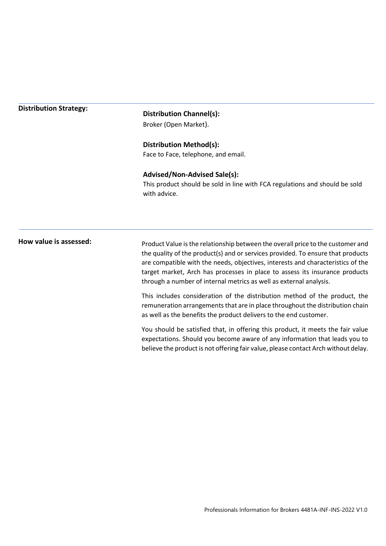#### **Distribution Strategy:**

#### **Distribution Channel(s):**

Broker (Open Market).

#### **Distribution Method(s):**

Face to Face, telephone, and email.

#### **Advised/Non-Advised Sale(s):**

This product should be sold in line with FCA regulations and should be sold with advice.

**How value is assessed:** Product Value is the relationship between the overall price to the customer and the quality of the product(s) and or services provided. To ensure that products are compatible with the needs, objectives, interests and characteristics of the target market, Arch has processes in place to assess its insurance products through a number of internal metrics as well as external analysis.

> This includes consideration of the distribution method of the product, the remuneration arrangements that are in place throughout the distribution chain as well as the benefits the product delivers to the end customer.

> You should be satisfied that, in offering this product, it meets the fair value expectations. Should you become aware of any information that leads you to believe the product is not offering fair value, please contact Arch without delay.